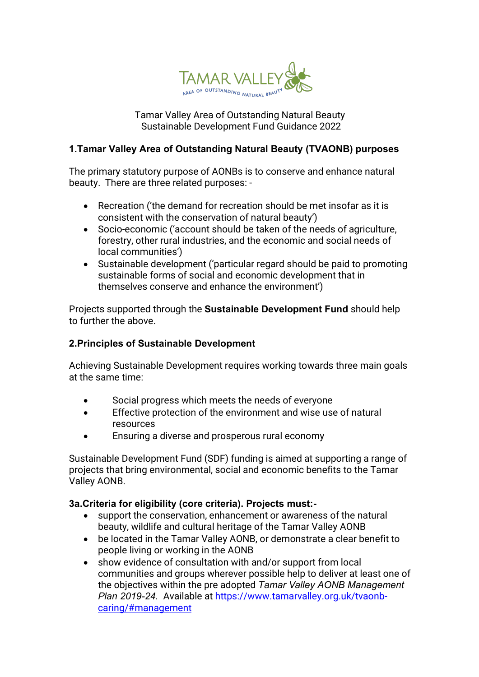

### Tamar Valley Area of Outstanding Natural Beauty Sustainable Development Fund Guidance 2022

# **1.Tamar Valley Area of Outstanding Natural Beauty (TVAONB) purposes**

The primary statutory purpose of AONBs is to conserve and enhance natural beauty. There are three related purposes: -

- Recreation ('the demand for recreation should be met insofar as it is consistent with the conservation of natural beauty')
- Socio-economic ('account should be taken of the needs of agriculture, forestry, other rural industries, and the economic and social needs of local communities')
- Sustainable development ('particular regard should be paid to promoting sustainable forms of social and economic development that in themselves conserve and enhance the environment')

Projects supported through the **Sustainable Development Fund** should help to further the above.

# **2.Principles of Sustainable Development**

Achieving Sustainable Development requires working towards three main goals at the same time:

- Social progress which meets the needs of everyone
- Effective protection of the environment and wise use of natural resources
- Ensuring a diverse and prosperous rural economy

Sustainable Development Fund (SDF) funding is aimed at supporting a range of projects that bring environmental, social and economic benefits to the Tamar Valley AONB.

# **3a.Criteria for eligibility (core criteria). Projects must:-**

- support the conservation, enhancement or awareness of the natural beauty, wildlife and cultural heritage of the Tamar Valley AONB
- be located in the Tamar Valley AONB, or demonstrate a clear benefit to people living or working in the AONB
- show evidence of consultation with and/or support from local communities and groups wherever possible help to deliver at least one of the objectives within the pre adopted *Tamar Valley AONB Management Plan 2019-24.* Available at https://www.tamarvalley.org.uk/tvaonbcaring/#management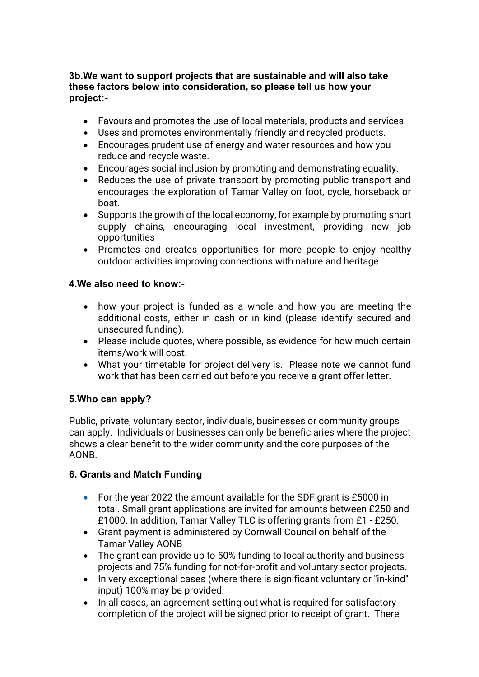### **3b.We want to support projects that are sustainable and will also take these factors below into consideration, so please tell us how your project:-**

- Favours and promotes the use of local materials, products and services.
- Uses and promotes environmentally friendly and recycled products.
- Encourages prudent use of energy and water resources and how you reduce and recycle waste.
- Encourages social inclusion by promoting and demonstrating equality.
- Reduces the use of private transport by promoting public transport and encourages the exploration of Tamar Valley on foot, cycle, horseback or boat.
- Supports the growth of the local economy, for example by promoting short supply chains, encouraging local investment, providing new job opportunities
- Promotes and creates opportunities for more people to enjoy healthy outdoor activities improving connections with nature and heritage.

# **4.We also need to know:-**

- how your project is funded as a whole and how you are meeting the additional costs, either in cash or in kind (please identify secured and unsecured funding).
- Please include quotes, where possible, as evidence for how much certain items/work will cost.
- What your timetable for project delivery is. Please note we cannot fund work that has been carried out before you receive a grant offer letter.

# **5.Who can apply?**

Public, private, voluntary sector, individuals, businesses or community groups can apply. Individuals or businesses can only be beneficiaries where the project shows a clear benefit to the wider community and the core purposes of the AONB.

# **6. Grants and Match Funding**

- For the year 2022 the amount available for the SDF grant is £5000 in total. Small grant applications are invited for amounts between £250 and £1000. In addition, Tamar Valley TLC is offering grants from £1 - £250.
- Grant payment is administered by Cornwall Council on behalf of the Tamar Valley AONB
- The grant can provide up to 50% funding to local authority and business projects and 75% funding for not-for-profit and voluntary sector projects.
- In very exceptional cases (where there is significant voluntary or "in-kind" input) 100% may be provided.
- In all cases, an agreement setting out what is required for satisfactory completion of the project will be signed prior to receipt of grant. There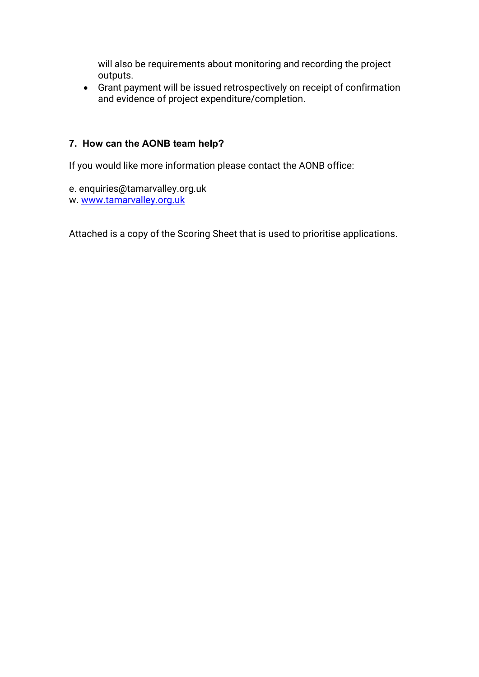will also be requirements about monitoring and recording the project outputs.

• Grant payment will be issued retrospectively on receipt of confirmation and evidence of project expenditure/completion.

# **7. How can the AONB team help?**

If you would like more information please contact the AONB office:

e. enquiries@tamarvalley.org.uk w. www.tamarvalley.org.uk

Attached is a copy of the Scoring Sheet that is used to prioritise applications.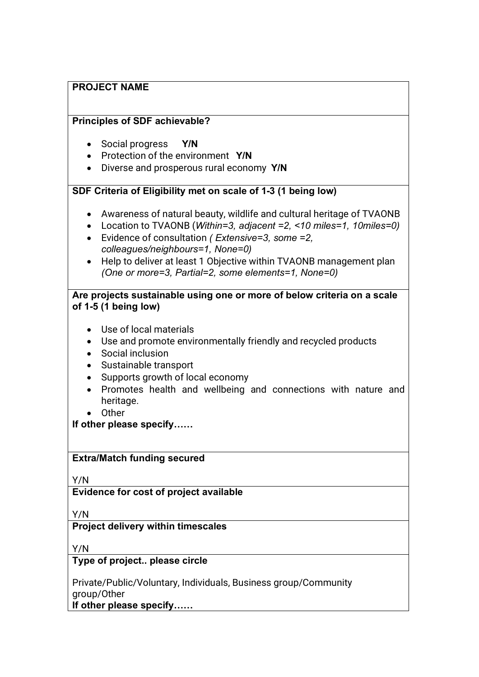| <b>PROJECT NAME</b> |
|---------------------|
|---------------------|

#### **Principles of SDF achievable?**

- Social progress **Y/N**
- Protection of the environment **Y/N**
- Diverse and prosperous rural economy **Y/N**

### **SDF Criteria of Eligibility met on scale of 1-3 (1 being low)**

- Awareness of natural beauty, wildlife and cultural heritage of TVAONB
- Location to TVAONB (*Within=3, adjacent =2, <10 miles=1, 10miles=0)*
- Evidence of consultation *( Extensive=3, some =2, colleagues/neighbours=1, None=0)*
- Help to deliver at least 1 Objective within TVAONB management plan *(One or more=3, Partial=2, some elements=1, None=0)*

### **Are projects sustainable using one or more of below criteria on a scale of 1-5 (1 being low)**

- Use of local materials
- Use and promote environmentally friendly and recycled products
- Social inclusion
- Sustainable transport
- Supports growth of local economy
- Promotes health and wellbeing and connections with nature and heritage.
- Other

**If other please specify……**

#### **Extra/Match funding secured**

Y/N

**Evidence for cost of project available**

Y/N

#### **Project delivery within timescales**

Y/N

#### **Type of project.. please circle**

Private/Public/Voluntary, Individuals, Business group/Community group/Other

**If other please specify……**